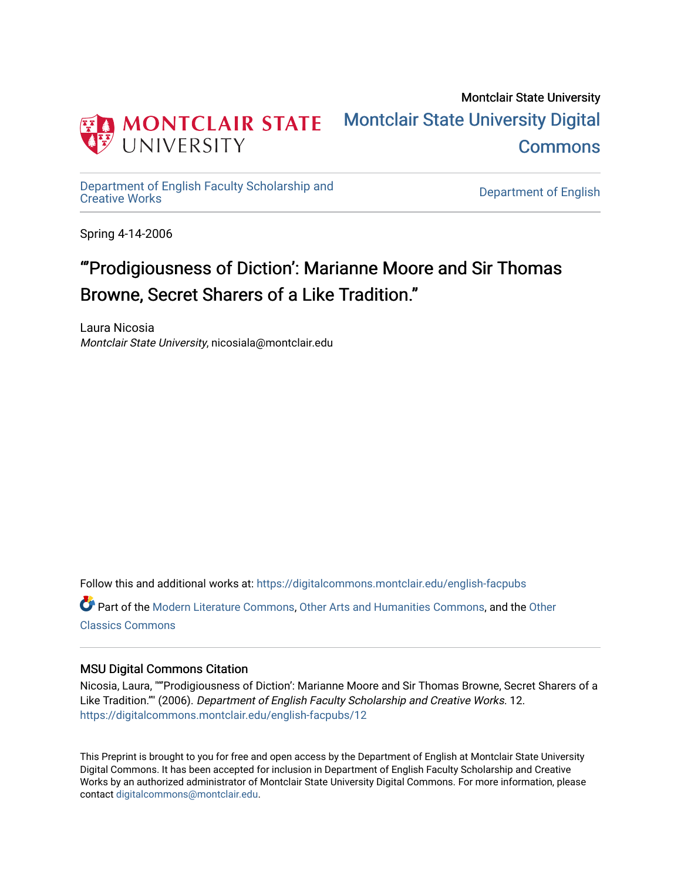

## Montclair State University [Montclair State University Digital](https://digitalcommons.montclair.edu/)  **Commons**

[Department of English Faculty Scholarship and](https://digitalcommons.montclair.edu/english-facpubs)

Department of English

Spring 4-14-2006

# "'Prodigiousness of Diction': Marianne Moore and Sir Thomas Browne, Secret Sharers of a Like Tradition."

Laura Nicosia Montclair State University, nicosiala@montclair.edu

Follow this and additional works at: [https://digitalcommons.montclair.edu/english-facpubs](https://digitalcommons.montclair.edu/english-facpubs?utm_source=digitalcommons.montclair.edu%2Fenglish-facpubs%2F12&utm_medium=PDF&utm_campaign=PDFCoverPages)

Part of the [Modern Literature Commons,](http://network.bepress.com/hgg/discipline/1050?utm_source=digitalcommons.montclair.edu%2Fenglish-facpubs%2F12&utm_medium=PDF&utm_campaign=PDFCoverPages) [Other Arts and Humanities Commons,](http://network.bepress.com/hgg/discipline/577?utm_source=digitalcommons.montclair.edu%2Fenglish-facpubs%2F12&utm_medium=PDF&utm_campaign=PDFCoverPages) and the [Other](http://network.bepress.com/hgg/discipline/453?utm_source=digitalcommons.montclair.edu%2Fenglish-facpubs%2F12&utm_medium=PDF&utm_campaign=PDFCoverPages) [Classics Commons](http://network.bepress.com/hgg/discipline/453?utm_source=digitalcommons.montclair.edu%2Fenglish-facpubs%2F12&utm_medium=PDF&utm_campaign=PDFCoverPages)

## MSU Digital Commons Citation

Nicosia, Laura, ""'Prodigiousness of Diction': Marianne Moore and Sir Thomas Browne, Secret Sharers of a Like Tradition."" (2006). Department of English Faculty Scholarship and Creative Works. 12. [https://digitalcommons.montclair.edu/english-facpubs/12](https://digitalcommons.montclair.edu/english-facpubs/12?utm_source=digitalcommons.montclair.edu%2Fenglish-facpubs%2F12&utm_medium=PDF&utm_campaign=PDFCoverPages) 

This Preprint is brought to you for free and open access by the Department of English at Montclair State University Digital Commons. It has been accepted for inclusion in Department of English Faculty Scholarship and Creative Works by an authorized administrator of Montclair State University Digital Commons. For more information, please contact [digitalcommons@montclair.edu](mailto:digitalcommons@montclair.edu).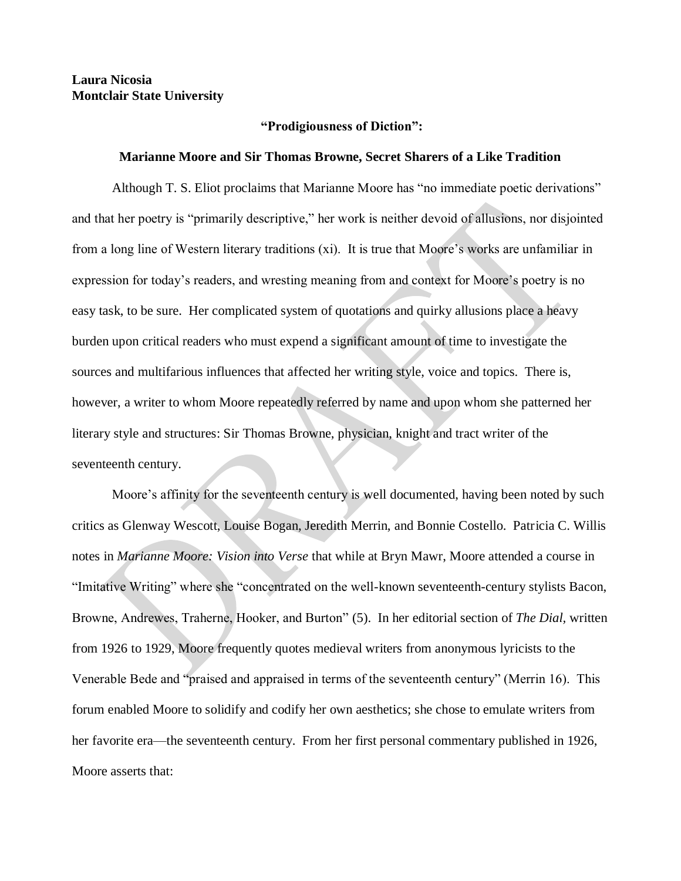## **Laura Nicosia Montclair State University**

#### **"Prodigiousness of Diction":**

#### **Marianne Moore and Sir Thomas Browne, Secret Sharers of a Like Tradition**

Although T. S. Eliot proclaims that Marianne Moore has "no immediate poetic derivations" and that her poetry is "primarily descriptive," her work is neither devoid of allusions, nor disjointed from a long line of Western literary traditions (xi). It is true that Moore's works are unfamiliar in expression for today's readers, and wresting meaning from and context for Moore's poetry is no easy task, to be sure. Her complicated system of quotations and quirky allusions place a heavy burden upon critical readers who must expend a significant amount of time to investigate the sources and multifarious influences that affected her writing style, voice and topics. There is, however, a writer to whom Moore repeatedly referred by name and upon whom she patterned her literary style and structures: Sir Thomas Browne, physician, knight and tract writer of the seventeenth century.

Moore's affinity for the seventeenth century is well documented, having been noted by such critics as Glenway Wescott, Louise Bogan, Jeredith Merrin, and Bonnie Costello. Patricia C. Willis notes in *Marianne Moore: Vision into Verse* that while at Bryn Mawr, Moore attended a course in "Imitative Writing" where she "concentrated on the well-known seventeenth-century stylists Bacon, Browne, Andrewes, Traherne, Hooker, and Burton" (5). In her editorial section of *The Dial,* written from 1926 to 1929, Moore frequently quotes medieval writers from anonymous lyricists to the Venerable Bede and "praised and appraised in terms of the seventeenth century" (Merrin 16). This forum enabled Moore to solidify and codify her own aesthetics; she chose to emulate writers from her favorite era—the seventeenth century. From her first personal commentary published in 1926, Moore asserts that: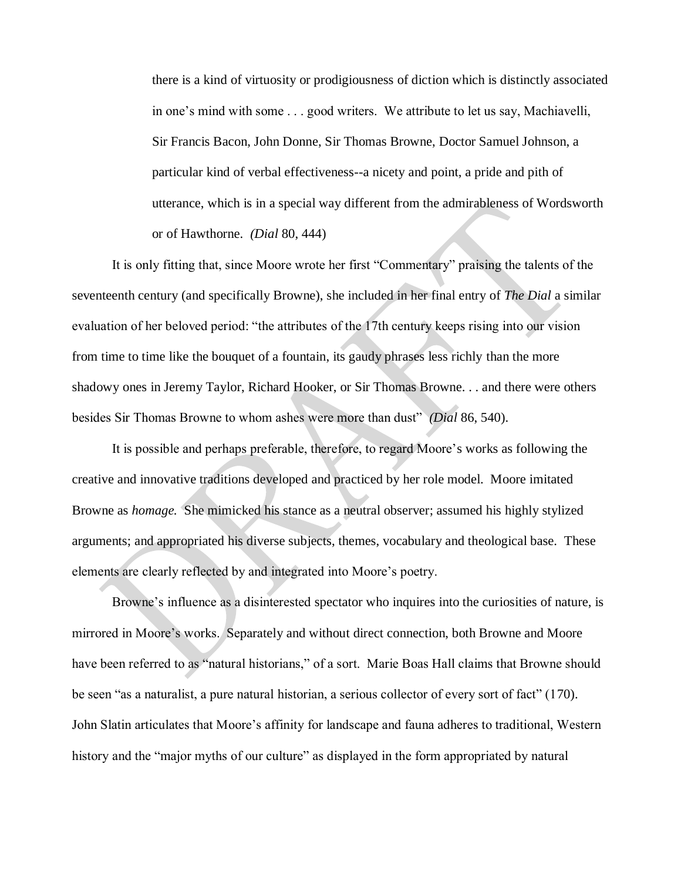there is a kind of virtuosity or prodigiousness of diction which is distinctly associated in one's mind with some . . . good writers. We attribute to let us say, Machiavelli, Sir Francis Bacon, John Donne, Sir Thomas Browne, Doctor Samuel Johnson, a particular kind of verbal effectiveness--a nicety and point, a pride and pith of utterance, which is in a special way different from the admirableness of Wordsworth or of Hawthorne. *(Dial* 80, 444)

It is only fitting that, since Moore wrote her first "Commentary" praising the talents of the seventeenth century (and specifically Browne), she included in her final entry of *The Dial* a similar evaluation of her beloved period: "the attributes of the 17th century keeps rising into our vision from time to time like the bouquet of a fountain, its gaudy phrases less richly than the more shadowy ones in Jeremy Taylor, Richard Hooker, or Sir Thomas Browne. . . and there were others besides Sir Thomas Browne to whom ashes were more than dust" *(Dial* 86, 540).

It is possible and perhaps preferable, therefore, to regard Moore's works as following the creative and innovative traditions developed and practiced by her role model. Moore imitated Browne as *homage.* She mimicked his stance as a neutral observer; assumed his highly stylized arguments; and appropriated his diverse subjects, themes, vocabulary and theological base. These elements are clearly reflected by and integrated into Moore's poetry.

Browne's influence as a disinterested spectator who inquires into the curiosities of nature, is mirrored in Moore's works. Separately and without direct connection, both Browne and Moore have been referred to as "natural historians," of a sort. Marie Boas Hall claims that Browne should be seen "as a naturalist, a pure natural historian, a serious collector of every sort of fact" (170). John Slatin articulates that Moore's affinity for landscape and fauna adheres to traditional, Western history and the "major myths of our culture" as displayed in the form appropriated by natural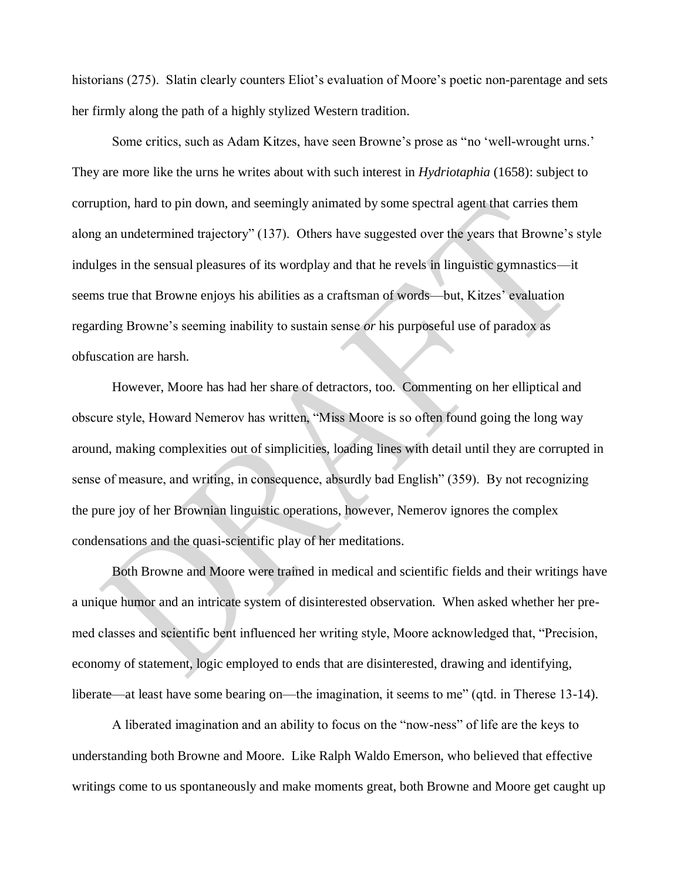historians (275). Slatin clearly counters Eliot's evaluation of Moore's poetic non-parentage and sets her firmly along the path of a highly stylized Western tradition.

Some critics, such as Adam Kitzes, have seen Browne's prose as "no 'well-wrought urns.' They are more like the urns he writes about with such interest in *Hydriotaphia* (1658): subject to corruption, hard to pin down, and seemingly animated by some spectral agent that carries them along an undetermined trajectory" (137). Others have suggested over the years that Browne's style indulges in the sensual pleasures of its wordplay and that he revels in linguistic gymnastics—it seems true that Browne enjoys his abilities as a craftsman of words—but, Kitzes' evaluation regarding Browne's seeming inability to sustain sense *or* his purposeful use of paradox as obfuscation are harsh.

However, Moore has had her share of detractors, too. Commenting on her elliptical and obscure style, Howard Nemerov has written, "Miss Moore is so often found going the long way around, making complexities out of simplicities, loading lines with detail until they are corrupted in sense of measure, and writing, in consequence, absurdly bad English" (359). By not recognizing the pure joy of her Brownian linguistic operations, however, Nemerov ignores the complex condensations and the quasi-scientific play of her meditations.

Both Browne and Moore were trained in medical and scientific fields and their writings have a unique humor and an intricate system of disinterested observation. When asked whether her premed classes and scientific bent influenced her writing style, Moore acknowledged that, "Precision, economy of statement, logic employed to ends that are disinterested, drawing and identifying, liberate—at least have some bearing on—the imagination, it seems to me" (qtd. in Therese 13-14).

A liberated imagination and an ability to focus on the "now-ness" of life are the keys to understanding both Browne and Moore. Like Ralph Waldo Emerson, who believed that effective writings come to us spontaneously and make moments great, both Browne and Moore get caught up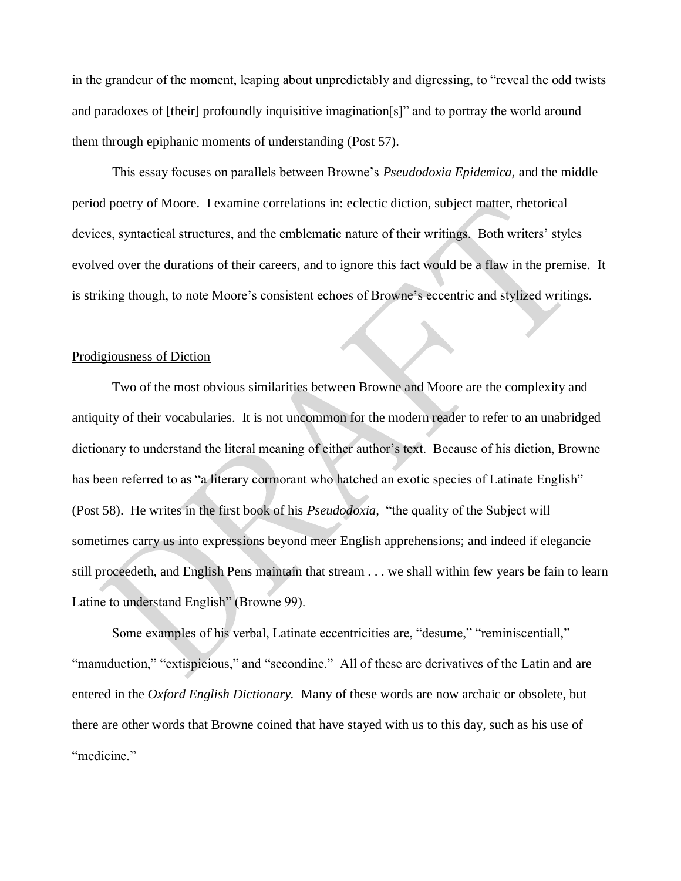in the grandeur of the moment, leaping about unpredictably and digressing, to "reveal the odd twists and paradoxes of [their] profoundly inquisitive imagination[s]" and to portray the world around them through epiphanic moments of understanding (Post 57).

This essay focuses on parallels between Browne's *Pseudodoxia Epidemica,* and the middle period poetry of Moore. I examine correlations in: eclectic diction, subject matter, rhetorical devices, syntactical structures, and the emblematic nature of their writings. Both writers' styles evolved over the durations of their careers, and to ignore this fact would be a flaw in the premise. It is striking though, to note Moore's consistent echoes of Browne's eccentric and stylized writings.

### Prodigiousness of Diction

Two of the most obvious similarities between Browne and Moore are the complexity and antiquity of their vocabularies. It is not uncommon for the modern reader to refer to an unabridged dictionary to understand the literal meaning of either author's text. Because of his diction, Browne has been referred to as "a literary cormorant who hatched an exotic species of Latinate English" (Post 58). He writes in the first book of his *Pseudodoxia,* "the quality of the Subject will sometimes carry us into expressions beyond meer English apprehensions; and indeed if elegancie still proceedeth, and English Pens maintain that stream . . . we shall within few years be fain to learn Latine to understand English" (Browne 99).

Some examples of his verbal, Latinate eccentricities are, "desume," "reminiscentiall," "manuduction," "extispicious," and "secondine." All of these are derivatives of the Latin and are entered in the *Oxford English Dictionary.* Many of these words are now archaic or obsolete, but there are other words that Browne coined that have stayed with us to this day, such as his use of "medicine."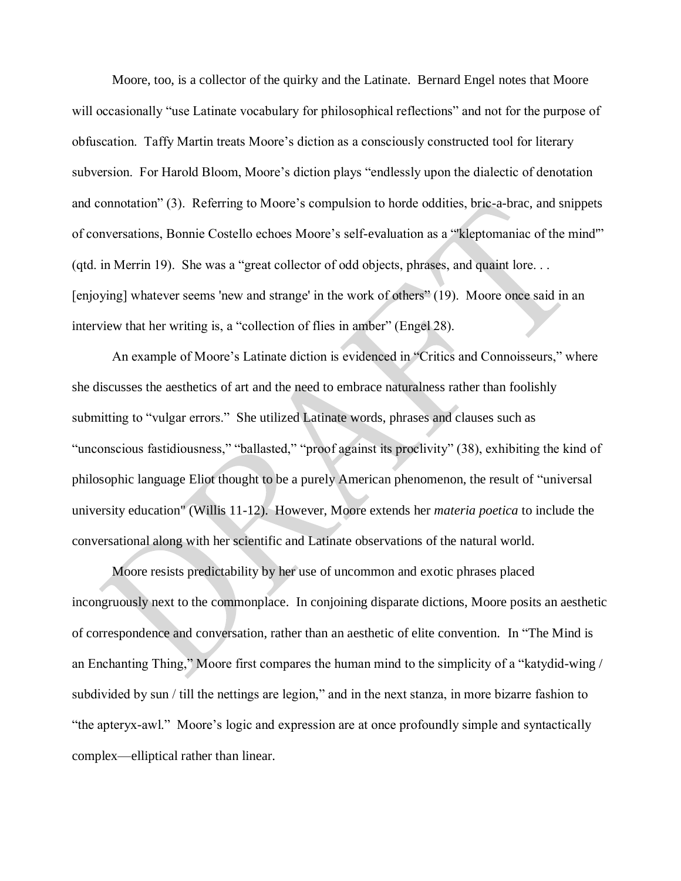Moore, too, is a collector of the quirky and the Latinate. Bernard Engel notes that Moore will occasionally "use Latinate vocabulary for philosophical reflections" and not for the purpose of obfuscation. Taffy Martin treats Moore's diction as a consciously constructed tool for literary subversion. For Harold Bloom, Moore's diction plays "endlessly upon the dialectic of denotation and connotation" (3). Referring to Moore's compulsion to horde oddities, bric-a-brac, and snippets of conversations, Bonnie Costello echoes Moore's self-evaluation as a "'kleptomaniac of the mind'" (qtd. in Merrin 19). She was a "great collector of odd objects, phrases, and quaint lore. . . [enjoying] whatever seems 'new and strange' in the work of others" (19). Moore once said in an interview that her writing is, a "collection of flies in amber" (Engel 28).

An example of Moore's Latinate diction is evidenced in "Critics and Connoisseurs," where she discusses the aesthetics of art and the need to embrace naturalness rather than foolishly submitting to "vulgar errors." She utilized Latinate words, phrases and clauses such as "unconscious fastidiousness," "ballasted," "proof against its proclivity" (38), exhibiting the kind of philosophic language Eliot thought to be a purely American phenomenon, the result of "universal university education" (Willis 11-12). However, Moore extends her *materia poetica* to include the conversational along with her scientific and Latinate observations of the natural world.

Moore resists predictability by her use of uncommon and exotic phrases placed incongruously next to the commonplace. In conjoining disparate dictions, Moore posits an aesthetic of correspondence and conversation, rather than an aesthetic of elite convention. In "The Mind is an Enchanting Thing," Moore first compares the human mind to the simplicity of a "katydid-wing / subdivided by sun / till the nettings are legion," and in the next stanza, in more bizarre fashion to "the apteryx-awl." Moore's logic and expression are at once profoundly simple and syntactically complex—elliptical rather than linear.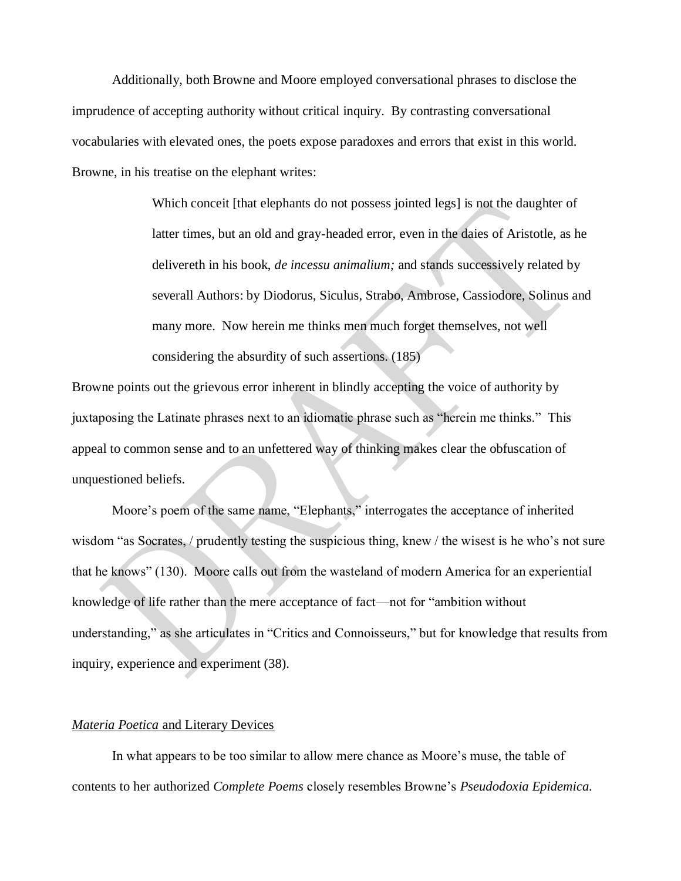Additionally, both Browne and Moore employed conversational phrases to disclose the imprudence of accepting authority without critical inquiry. By contrasting conversational vocabularies with elevated ones, the poets expose paradoxes and errors that exist in this world. Browne, in his treatise on the elephant writes:

> Which conceit [that elephants do not possess jointed legs] is not the daughter of latter times, but an old and gray-headed error, even in the daies of Aristotle, as he delivereth in his book, *de incessu animalium;* and stands successively related by severall Authors: by Diodorus, Siculus, Strabo, Ambrose, Cassiodore, Solinus and many more. Now herein me thinks men much forget themselves, not well considering the absurdity of such assertions. (185)

Browne points out the grievous error inherent in blindly accepting the voice of authority by juxtaposing the Latinate phrases next to an idiomatic phrase such as "herein me thinks." This appeal to common sense and to an unfettered way of thinking makes clear the obfuscation of unquestioned beliefs.

Moore's poem of the same name, "Elephants," interrogates the acceptance of inherited wisdom "as Socrates, / prudently testing the suspicious thing, knew / the wisest is he who's not sure that he knows" (130). Moore calls out from the wasteland of modern America for an experiential knowledge of life rather than the mere acceptance of fact—not for "ambition without understanding," as she articulates in "Critics and Connoisseurs," but for knowledge that results from inquiry, experience and experiment (38).

#### *Materia Poetica* and Literary Devices

In what appears to be too similar to allow mere chance as Moore's muse, the table of contents to her authorized *Complete Poems* closely resembles Browne's *Pseudodoxia Epidemica.*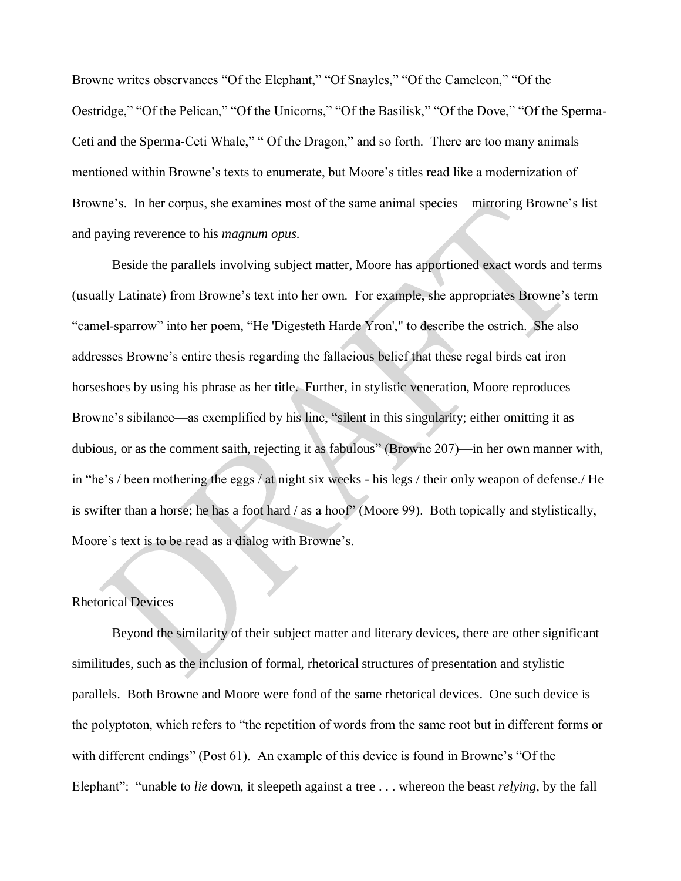Browne writes observances "Of the Elephant," "Of Snayles," "Of the Cameleon," "Of the Oestridge," "Of the Pelican," "Of the Unicorns," "Of the Basilisk," "Of the Dove," "Of the Sperma-Ceti and the Sperma-Ceti Whale," " Of the Dragon," and so forth. There are too many animals mentioned within Browne's texts to enumerate, but Moore's titles read like a modernization of Browne's. In her corpus, she examines most of the same animal species—mirroring Browne's list and paying reverence to his *magnum opus.*

Beside the parallels involving subject matter, Moore has apportioned exact words and terms (usually Latinate) from Browne's text into her own. For example, she appropriates Browne's term "camel-sparrow" into her poem, "He 'Digesteth Harde Yron'," to describe the ostrich. She also addresses Browne's entire thesis regarding the fallacious belief that these regal birds eat iron horseshoes by using his phrase as her title. Further, in stylistic veneration, Moore reproduces Browne's sibilance—as exemplified by his line, "silent in this singularity; either omitting it as dubious, or as the comment saith, rejecting it as fabulous" (Browne 207)—in her own manner with, in "he's / been mothering the eggs / at night six weeks - his legs / their only weapon of defense./ He is swifter than a horse; he has a foot hard / as a hoof" (Moore 99). Both topically and stylistically, Moore's text is to be read as a dialog with Browne's.

#### Rhetorical Devices

Beyond the similarity of their subject matter and literary devices, there are other significant similitudes, such as the inclusion of formal, rhetorical structures of presentation and stylistic parallels. Both Browne and Moore were fond of the same rhetorical devices. One such device is the polyptoton, which refers to "the repetition of words from the same root but in different forms or with different endings" (Post 61). An example of this device is found in Browne's "Of the Elephant": "unable to *lie* down, it sleepeth against a tree . . . whereon the beast *relying*, by the fall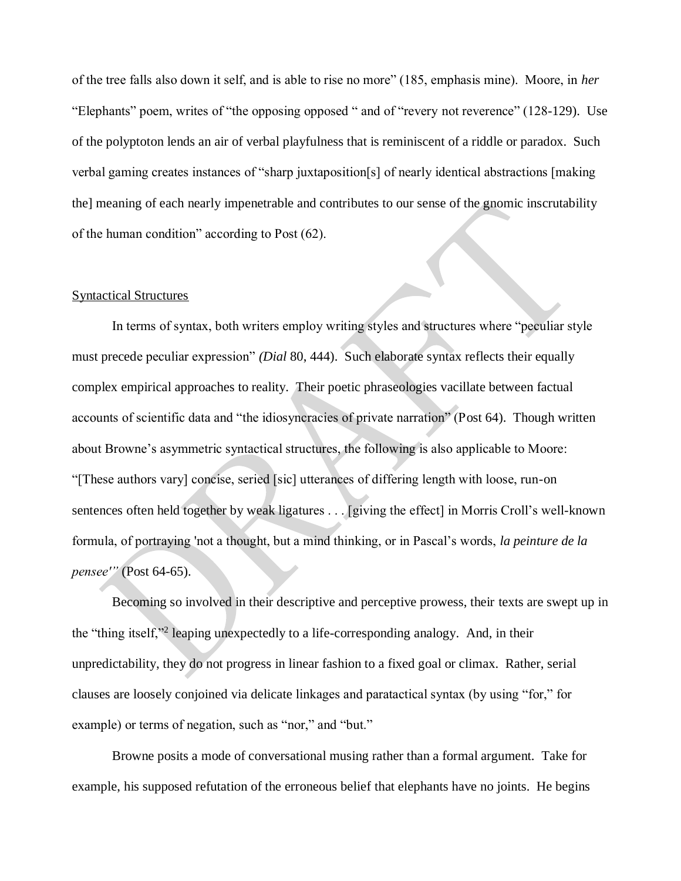of the tree falls also down it self, and is able to rise no more" (185, emphasis mine). Moore, in *her* "Elephants" poem, writes of "the opposing opposed " and of "revery not reverence" (128-129). Use of the polyptoton lends an air of verbal playfulness that is reminiscent of a riddle or paradox. Such verbal gaming creates instances of "sharp juxtaposition[s] of nearly identical abstractions [making the] meaning of each nearly impenetrable and contributes to our sense of the gnomic inscrutability of the human condition" according to Post (62).

#### Syntactical Structures

In terms of syntax, both writers employ writing styles and structures where "peculiar style must precede peculiar expression" *(Dial* 80, 444). Such elaborate syntax reflects their equally complex empirical approaches to reality. Their poetic phraseologies vacillate between factual accounts of scientific data and "the idiosyncracies of private narration" (Post 64). Though written about Browne's asymmetric syntactical structures, the following is also applicable to Moore: "[These authors vary] concise, seried [sic] utterances of differing length with loose, run-on sentences often held together by weak ligatures . . . [giving the effect] in Morris Croll's well-known formula, of portraying 'not a thought, but a mind thinking, or in Pascal's words, *la peinture de la pensee'"* (Post 64-65).

Becoming so involved in their descriptive and perceptive prowess, their texts are swept up in the "thing itself,"<sup>2</sup> leaping unexpectedly to a life-corresponding analogy. And, in their unpredictability, they do not progress in linear fashion to a fixed goal or climax. Rather, serial clauses are loosely conjoined via delicate linkages and paratactical syntax (by using "for," for example) or terms of negation, such as "nor," and "but."

Browne posits a mode of conversational musing rather than a formal argument. Take for example, his supposed refutation of the erroneous belief that elephants have no joints. He begins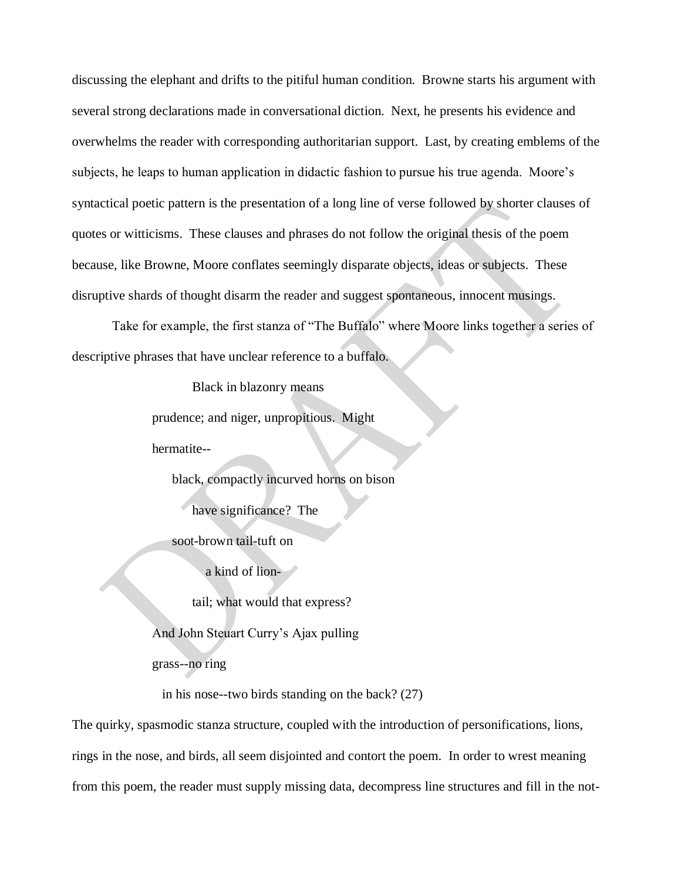discussing the elephant and drifts to the pitiful human condition. Browne starts his argument with several strong declarations made in conversational diction. Next, he presents his evidence and overwhelms the reader with corresponding authoritarian support. Last, by creating emblems of the subjects, he leaps to human application in didactic fashion to pursue his true agenda. Moore's syntactical poetic pattern is the presentation of a long line of verse followed by shorter clauses of quotes or witticisms. These clauses and phrases do not follow the original thesis of the poem because, like Browne, Moore conflates seemingly disparate objects, ideas or subjects. These disruptive shards of thought disarm the reader and suggest spontaneous, innocent musings.

Take for example, the first stanza of "The Buffalo" where Moore links together a series of descriptive phrases that have unclear reference to a buffalo.

Black in blazonry means

prudence; and niger, unpropitious. Might

hermatite--

black, compactly incurved horns on bison

have significance? The

soot-brown tail-tuft on

a kind of lion-

tail; what would that express?

And John Steuart Curry's Ajax pulling

grass--no ring

in his nose--two birds standing on the back? (27)

The quirky, spasmodic stanza structure, coupled with the introduction of personifications, lions, rings in the nose, and birds, all seem disjointed and contort the poem. In order to wrest meaning from this poem, the reader must supply missing data, decompress line structures and fill in the not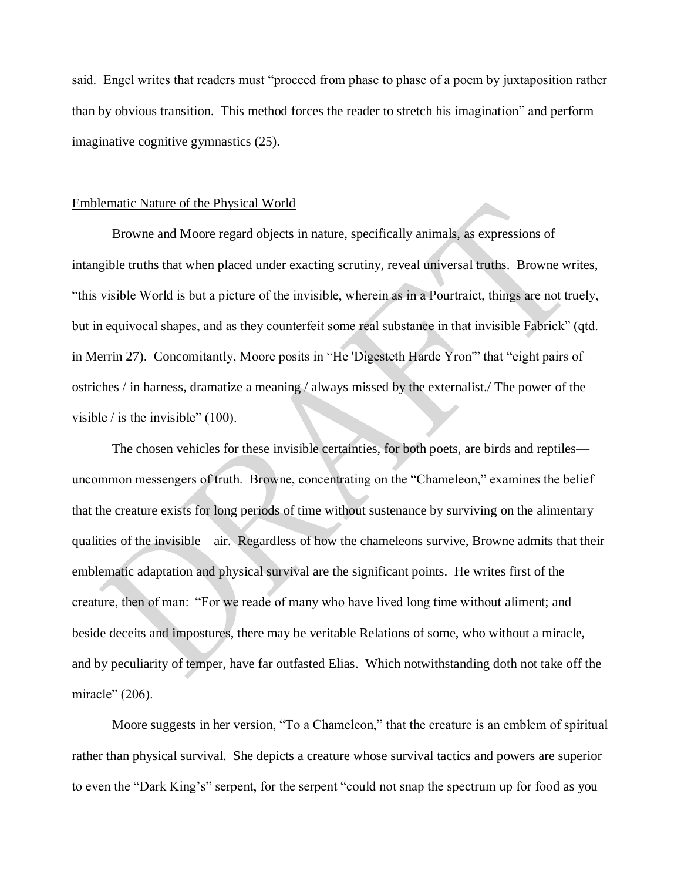said. Engel writes that readers must "proceed from phase to phase of a poem by juxtaposition rather than by obvious transition. This method forces the reader to stretch his imagination" and perform imaginative cognitive gymnastics (25).

#### Emblematic Nature of the Physical World

Browne and Moore regard objects in nature, specifically animals, as expressions of intangible truths that when placed under exacting scrutiny, reveal universal truths. Browne writes, "this visible World is but a picture of the invisible, wherein as in a Pourtraict, things are not truely, but in equivocal shapes, and as they counterfeit some real substance in that invisible Fabrick" (qtd. in Merrin 27). Concomitantly, Moore posits in "He 'Digesteth Harde Yron'" that "eight pairs of ostriches / in harness, dramatize a meaning / always missed by the externalist./ The power of the visible  $\ell$  is the invisible" (100).

The chosen vehicles for these invisible certainties, for both poets, are birds and reptiles uncommon messengers of truth. Browne, concentrating on the "Chameleon," examines the belief that the creature exists for long periods of time without sustenance by surviving on the alimentary qualities of the invisible—air. Regardless of how the chameleons survive, Browne admits that their emblematic adaptation and physical survival are the significant points. He writes first of the creature, then of man: "For we reade of many who have lived long time without aliment; and beside deceits and impostures, there may be veritable Relations of some, who without a miracle, and by peculiarity of temper, have far outfasted Elias. Which notwithstanding doth not take off the miracle" (206).

Moore suggests in her version, "To a Chameleon," that the creature is an emblem of spiritual rather than physical survival. She depicts a creature whose survival tactics and powers are superior to even the "Dark King's" serpent, for the serpent "could not snap the spectrum up for food as you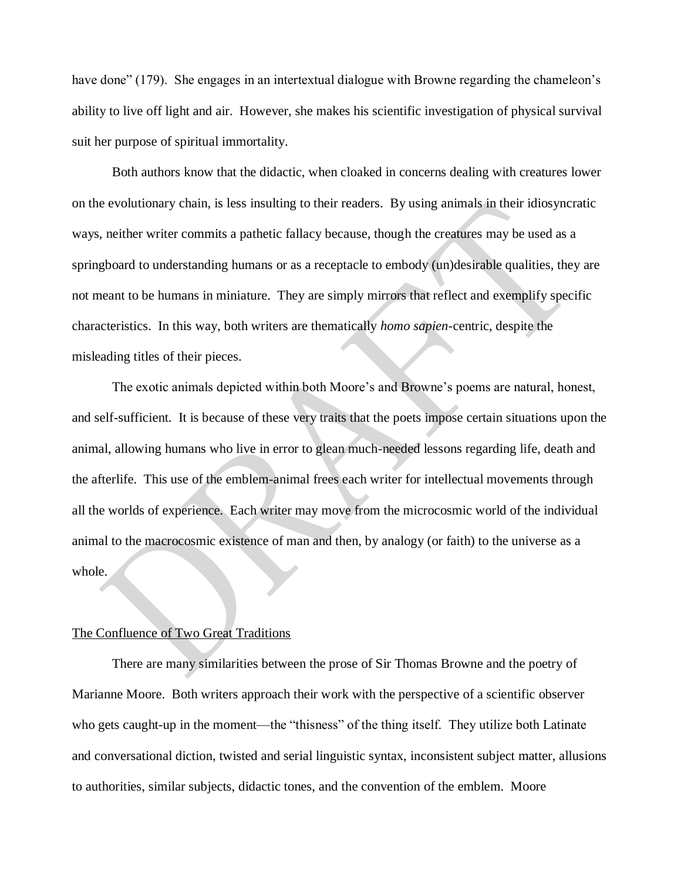have done" (179). She engages in an intertextual dialogue with Browne regarding the chameleon's ability to live off light and air. However, she makes his scientific investigation of physical survival suit her purpose of spiritual immortality.

Both authors know that the didactic, when cloaked in concerns dealing with creatures lower on the evolutionary chain, is less insulting to their readers. By using animals in their idiosyncratic ways, neither writer commits a pathetic fallacy because, though the creatures may be used as a springboard to understanding humans or as a receptacle to embody (un)desirable qualities, they are not meant to be humans in miniature. They are simply mirrors that reflect and exemplify specific characteristics. In this way, both writers are thematically *homo sapien*-centric, despite the misleading titles of their pieces.

The exotic animals depicted within both Moore's and Browne's poems are natural, honest, and self-sufficient. It is because of these very traits that the poets impose certain situations upon the animal, allowing humans who live in error to glean much-needed lessons regarding life, death and the afterlife. This use of the emblem-animal frees each writer for intellectual movements through all the worlds of experience. Each writer may move from the microcosmic world of the individual animal to the macrocosmic existence of man and then, by analogy (or faith) to the universe as a whole.

## The Confluence of Two Great Traditions

There are many similarities between the prose of Sir Thomas Browne and the poetry of Marianne Moore. Both writers approach their work with the perspective of a scientific observer who gets caught-up in the moment—the "thisness" of the thing itself. They utilize both Latinate and conversational diction, twisted and serial linguistic syntax, inconsistent subject matter, allusions to authorities, similar subjects, didactic tones, and the convention of the emblem. Moore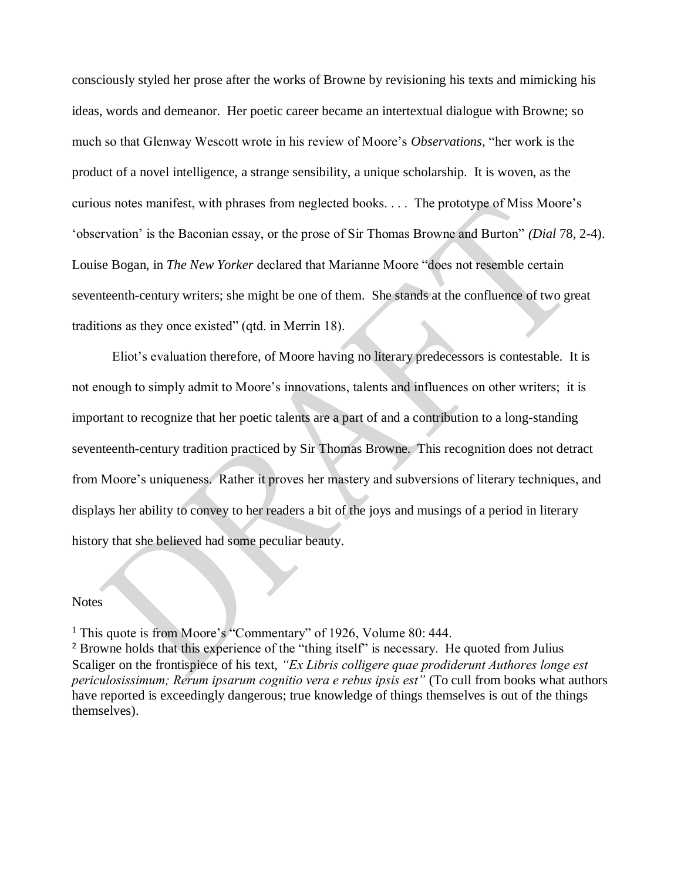consciously styled her prose after the works of Browne by revisioning his texts and mimicking his ideas, words and demeanor. Her poetic career became an intertextual dialogue with Browne; so much so that Glenway Wescott wrote in his review of Moore's *Observations,* "her work is the product of a novel intelligence, a strange sensibility, a unique scholarship. It is woven, as the curious notes manifest, with phrases from neglected books. . . . The prototype of Miss Moore's 'observation' is the Baconian essay, or the prose of Sir Thomas Browne and Burton" *(Dial* 78, 2-4). Louise Bogan, in *The New Yorker* declared that Marianne Moore "does not resemble certain seventeenth-century writers; she might be one of them. She stands at the confluence of two great traditions as they once existed" (qtd. in Merrin 18).

Eliot's evaluation therefore, of Moore having no literary predecessors is contestable. It is not enough to simply admit to Moore's innovations, talents and influences on other writers; it is important to recognize that her poetic talents are a part of and a contribution to a long-standing seventeenth-century tradition practiced by Sir Thomas Browne. This recognition does not detract from Moore's uniqueness. Rather it proves her mastery and subversions of literary techniques, and displays her ability to convey to her readers a bit of the joys and musings of a period in literary history that she believed had some peculiar beauty.

#### **Notes**

<sup>1</sup> This quote is from Moore's "Commentary" of 1926, Volume 80: 444.

<sup>2</sup> Browne holds that this experience of the "thing itself" is necessary. He quoted from Julius Scaliger on the frontispiece of his text, *"Ex Libris colligere quae prodiderunt Authores longe est periculosissimum; Rerum ipsarum cognitio vera e rebus ipsis est"* (To cull from books what authors have reported is exceedingly dangerous; true knowledge of things themselves is out of the things themselves).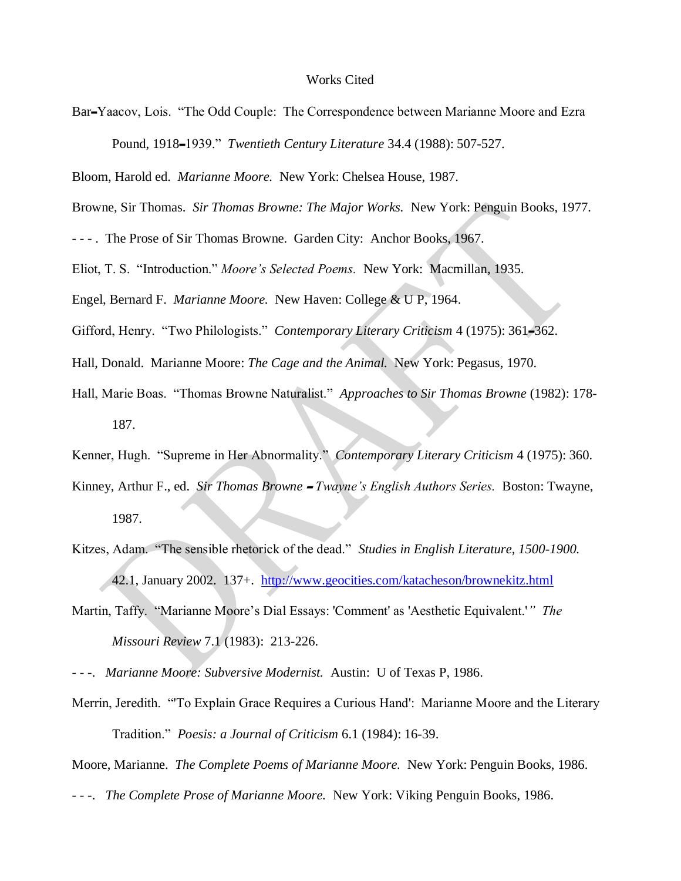#### Works Cited

Bar-Yaacov, Lois. "The Odd Couple: The Correspondence between Marianne Moore and Ezra Pound, 1918-1939." *Twentieth Century Literature* 34.4 (1988): 507-527.

Bloom, Harold ed. *Marianne Moore.* New York: Chelsea House, 1987.

Browne, Sir Thomas. *Sir Thomas Browne: The Major Works.* New York: Penguin Books, 1977.

- - - . The Prose of Sir Thomas Browne. Garden City: Anchor Books, 1967.

Eliot, T. S. "Introduction." *Moore's Selected Poems.* New York: Macmillan, 1935.

Engel, Bernard F. *Marianne Moore.* New Haven: College & U P, 1964.

Gifford, Henry. "Two Philologists." *Contemporary Literary Criticism* 4 (1975): 361-362.

- Hall, Donald. Marianne Moore: *The Cage and the Animal.* New York: Pegasus, 1970.
- Hall, Marie Boas. "Thomas Browne Naturalist." *Approaches to Sir Thomas Browne* (1982): 178- 187.

Kenner, Hugh. "Supreme in Her Abnormality." *Contemporary Literary Criticism* 4 (1975): 360.

- Kinney, Arthur F., ed. *Sir Thomas Browne Twayne's English Authors Series*. Boston: Twayne, 1987.
- Kitzes, Adam. "The sensible rhetorick of the dead." *Studies in English Literature, 1500-1900.*  42.1, January 2002. 137+. <http://www.geocities.com/katacheson/brownekitz.html>
- Martin, Taffy. "Marianne Moore's Dial Essays: 'Comment' as 'Aesthetic Equivalent.'*" The Missouri Review* 7.1 (1983): 213-226.
- - -. *Marianne Moore: Subversive Modernist.* Austin: U of Texas P, 1986.
- Merrin, Jeredith. "'To Explain Grace Requires a Curious Hand': Marianne Moore and the Literary Tradition." *Poesis: a Journal of Criticism* 6.1 (1984): 16-39.

Moore, Marianne. *The Complete Poems of Marianne Moore.* New York: Penguin Books, 1986.

- - -. *The Complete Prose of Marianne Moore.* New York: Viking Penguin Books, 1986.